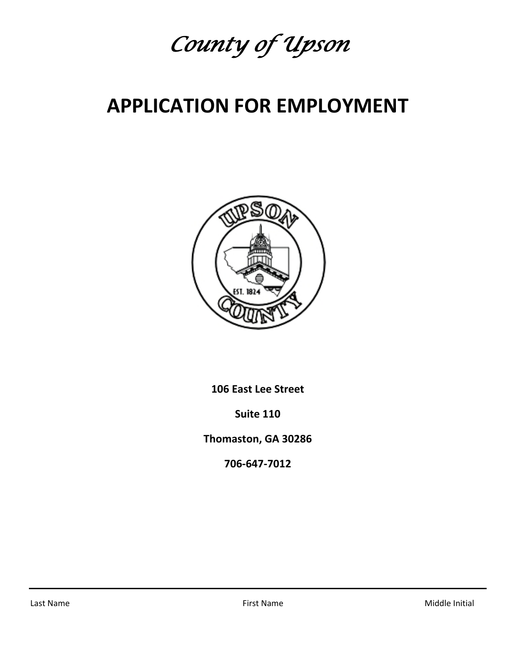

## **APPLICATION FOR EMPLOYMENT**



**106 East Lee Street**

**Suite 110**

**Thomaston, GA 30286**

**706‐647‐7012**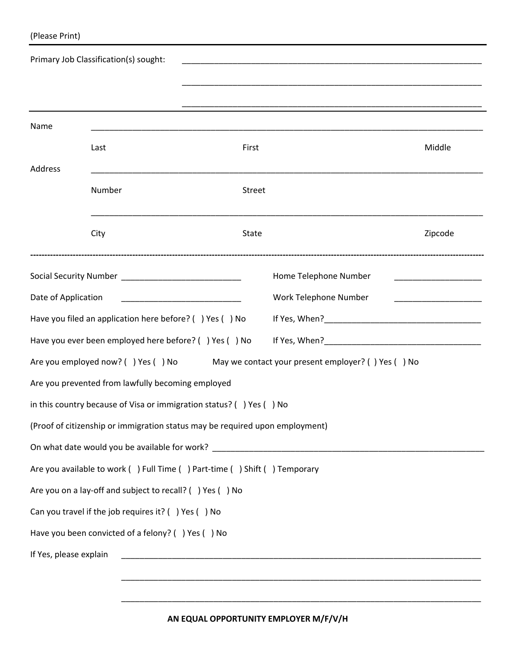| (Please Print) |  |
|----------------|--|
|----------------|--|

|                        | Primary Job Classification(s) sought:                    |                                                                                       |         |
|------------------------|----------------------------------------------------------|---------------------------------------------------------------------------------------|---------|
|                        |                                                          |                                                                                       |         |
| Name                   |                                                          |                                                                                       |         |
|                        | Last                                                     | First                                                                                 | Middle  |
| Address                |                                                          |                                                                                       |         |
|                        | Number                                                   | Street                                                                                |         |
|                        | City                                                     | State                                                                                 | Zipcode |
|                        |                                                          | Home Telephone Number                                                                 |         |
| Date of Application    |                                                          | Work Telephone Number<br><u> 1989 - Johann John Harry Hermann (f. 1989)</u>           |         |
|                        | Have you filed an application here before? () Yes () No  |                                                                                       |         |
|                        | Have you ever been employed here before? () Yes () No    |                                                                                       |         |
|                        |                                                          | Are you employed now? () Yes () No May we contact your present employer? () Yes () No |         |
|                        | Are you prevented from lawfully becoming employed        |                                                                                       |         |
|                        |                                                          | in this country because of Visa or immigration status? () Yes () No                   |         |
|                        |                                                          | (Proof of citizenship or immigration status may be required upon employment)          |         |
|                        |                                                          |                                                                                       |         |
|                        |                                                          | Are you available to work () Full Time () Part-time () Shift () Temporary             |         |
|                        | Are you on a lay-off and subject to recall? () Yes () No |                                                                                       |         |
|                        | Can you travel if the job requires it? () Yes () No      |                                                                                       |         |
|                        | Have you been convicted of a felony? () Yes () No        |                                                                                       |         |
| If Yes, please explain |                                                          |                                                                                       |         |
|                        |                                                          |                                                                                       |         |

\_\_\_\_\_\_\_\_\_\_\_\_\_\_\_\_\_\_\_\_\_\_\_\_\_\_\_\_\_\_\_\_\_\_\_\_\_\_\_\_\_\_\_\_\_\_\_\_\_\_\_\_\_\_\_\_\_\_\_\_\_\_\_\_\_\_\_\_\_\_\_\_\_\_\_\_\_\_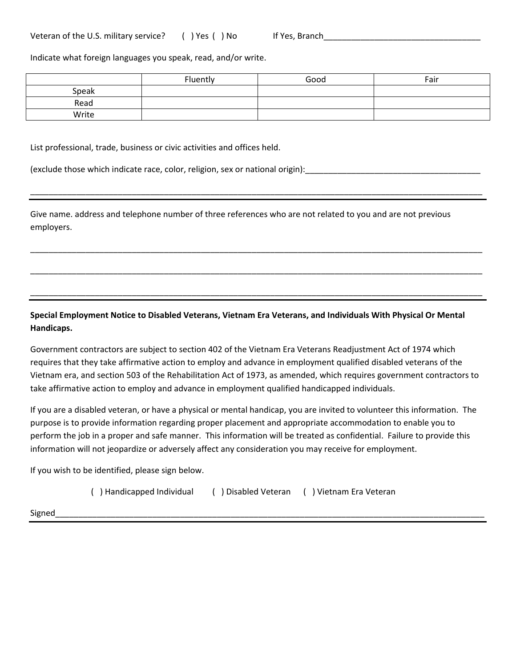Indicate what foreign languages you speak, read, and/or write.

|       | Fluently | Good | Fair |
|-------|----------|------|------|
| Speak |          |      |      |
| Read  |          |      |      |
| Write |          |      |      |

\_\_\_\_\_\_\_\_\_\_\_\_\_\_\_\_\_\_\_\_\_\_\_\_\_\_\_\_\_\_\_\_\_\_\_\_\_\_\_\_\_\_\_\_\_\_\_\_\_\_\_\_\_\_\_\_\_\_\_\_\_\_\_\_\_\_\_\_\_\_\_\_\_\_\_\_\_\_\_\_\_\_\_\_\_\_\_\_\_\_\_\_\_\_\_\_\_\_

\_\_\_\_\_\_\_\_\_\_\_\_\_\_\_\_\_\_\_\_\_\_\_\_\_\_\_\_\_\_\_\_\_\_\_\_\_\_\_\_\_\_\_\_\_\_\_\_\_\_\_\_\_\_\_\_\_\_\_\_\_\_\_\_\_\_\_\_\_\_\_\_\_\_\_\_\_\_\_\_\_\_\_\_\_\_\_\_\_\_\_\_\_\_\_\_\_\_

\_\_\_\_\_\_\_\_\_\_\_\_\_\_\_\_\_\_\_\_\_\_\_\_\_\_\_\_\_\_\_\_\_\_\_\_\_\_\_\_\_\_\_\_\_\_\_\_\_\_\_\_\_\_\_\_\_\_\_\_\_\_\_\_\_\_\_\_\_\_\_\_\_\_\_\_\_\_\_\_\_\_\_\_\_\_\_\_\_\_\_\_\_\_\_\_\_\_

\_\_\_\_\_\_\_\_\_\_\_\_\_\_\_\_\_\_\_\_\_\_\_\_\_\_\_\_\_\_\_\_\_\_\_\_\_\_\_\_\_\_\_\_\_\_\_\_\_\_\_\_\_\_\_\_\_\_\_\_\_\_\_\_\_\_\_\_\_\_\_\_\_\_\_\_\_\_\_\_\_\_\_\_\_\_\_\_\_\_\_\_\_\_\_\_\_\_

List professional, trade, business or civic activities and offices held.

(exclude those which indicate race, color, religion, sex or national origin): [10] (10] (10] (10] (10] (10] (10

Give name. address and telephone number of three references who are not related to you and are not previous employers.

**Special Employment Notice to Disabled Veterans, Vietnam Era Veterans, and Individuals With Physical Or Mental Handicaps.**

Government contractors are subject to section 402 of the Vietnam Era Veterans Readjustment Act of 1974 which requires that they take affirmative action to employ and advance in employment qualified disabled veterans of the Vietnam era, and section 503 of the Rehabilitation Act of 1973, as amended, which requires government contractors to take affirmative action to employ and advance in employment qualified handicapped individuals.

If you are a disabled veteran, or have a physical or mental handicap, you are invited to volunteer this information. The purpose is to provide information regarding proper placement and appropriate accommodation to enable you to perform the job in a proper and safe manner. This information will be treated as confidential. Failure to provide this information will not jeopardize or adversely affect any consideration you may receive for employment.

If you wish to be identified, please sign below.

( ) Handicapped Individual ( ) Disabled Veteran ( ) Vietnam Era Veteran

Signed\_\_\_\_\_\_\_\_\_\_\_\_\_\_\_\_\_\_\_\_\_\_\_\_\_\_\_\_\_\_\_\_\_\_\_\_\_\_\_\_\_\_\_\_\_\_\_\_\_\_\_\_\_\_\_\_\_\_\_\_\_\_\_\_\_\_\_\_\_\_\_\_\_\_\_\_\_\_\_\_\_\_\_\_\_\_\_\_\_\_\_\_\_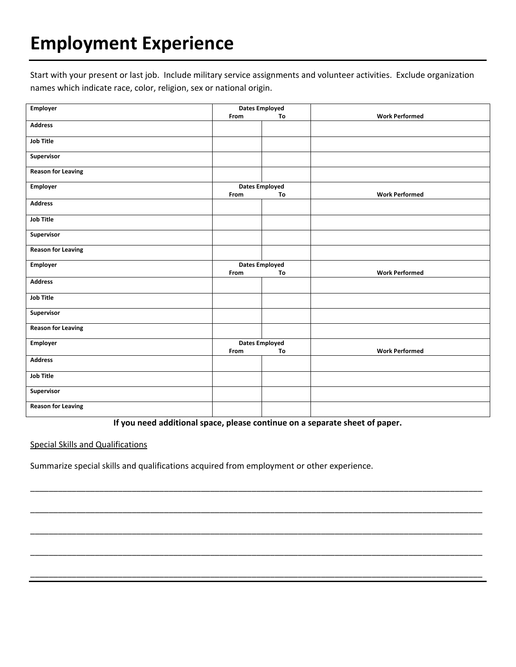# **Employment Experience**

Start with your present or last job. Include military service assignments and volunteer activities. Exclude organization names which indicate race, color, religion, sex or national origin.

| <b>Employer</b>           | <b>Dates Employed</b> |                       |                       |  |
|---------------------------|-----------------------|-----------------------|-----------------------|--|
|                           | From                  | To                    | <b>Work Performed</b> |  |
| <b>Address</b>            |                       |                       |                       |  |
| <b>Job Title</b>          |                       |                       |                       |  |
| Supervisor                |                       |                       |                       |  |
| <b>Reason for Leaving</b> |                       |                       |                       |  |
| Employer                  |                       | <b>Dates Employed</b> |                       |  |
|                           | From                  | To                    | <b>Work Performed</b> |  |
| <b>Address</b>            |                       |                       |                       |  |
| <b>Job Title</b>          |                       |                       |                       |  |
| Supervisor                |                       |                       |                       |  |
| <b>Reason for Leaving</b> |                       |                       |                       |  |
| Employer                  |                       | <b>Dates Employed</b> |                       |  |
|                           | From                  | To                    | <b>Work Performed</b> |  |
| <b>Address</b>            |                       |                       |                       |  |
| <b>Job Title</b>          |                       |                       |                       |  |
| Supervisor                |                       |                       |                       |  |
| <b>Reason for Leaving</b> |                       |                       |                       |  |
| Employer                  |                       | <b>Dates Employed</b> |                       |  |
|                           | From                  | To                    | <b>Work Performed</b> |  |
| <b>Address</b>            |                       |                       |                       |  |
| <b>Job Title</b>          |                       |                       |                       |  |
| Supervisor                |                       |                       |                       |  |
| <b>Reason for Leaving</b> |                       |                       |                       |  |

**If you need additional space, please continue on a separate sheet of paper.**

\_\_\_\_\_\_\_\_\_\_\_\_\_\_\_\_\_\_\_\_\_\_\_\_\_\_\_\_\_\_\_\_\_\_\_\_\_\_\_\_\_\_\_\_\_\_\_\_\_\_\_\_\_\_\_\_\_\_\_\_\_\_\_\_\_\_\_\_\_\_\_\_\_\_\_\_\_\_\_\_\_\_\_\_\_\_\_\_\_\_\_\_\_\_\_\_\_\_

\_\_\_\_\_\_\_\_\_\_\_\_\_\_\_\_\_\_\_\_\_\_\_\_\_\_\_\_\_\_\_\_\_\_\_\_\_\_\_\_\_\_\_\_\_\_\_\_\_\_\_\_\_\_\_\_\_\_\_\_\_\_\_\_\_\_\_\_\_\_\_\_\_\_\_\_\_\_\_\_\_\_\_\_\_\_\_\_\_\_\_\_\_\_\_\_\_\_

\_\_\_\_\_\_\_\_\_\_\_\_\_\_\_\_\_\_\_\_\_\_\_\_\_\_\_\_\_\_\_\_\_\_\_\_\_\_\_\_\_\_\_\_\_\_\_\_\_\_\_\_\_\_\_\_\_\_\_\_\_\_\_\_\_\_\_\_\_\_\_\_\_\_\_\_\_\_\_\_\_\_\_\_\_\_\_\_\_\_\_\_\_\_\_\_\_\_

\_\_\_\_\_\_\_\_\_\_\_\_\_\_\_\_\_\_\_\_\_\_\_\_\_\_\_\_\_\_\_\_\_\_\_\_\_\_\_\_\_\_\_\_\_\_\_\_\_\_\_\_\_\_\_\_\_\_\_\_\_\_\_\_\_\_\_\_\_\_\_\_\_\_\_\_\_\_\_\_\_\_\_\_\_\_\_\_\_\_\_\_\_\_\_\_\_\_

\_\_\_\_\_\_\_\_\_\_\_\_\_\_\_\_\_\_\_\_\_\_\_\_\_\_\_\_\_\_\_\_\_\_\_\_\_\_\_\_\_\_\_\_\_\_\_\_\_\_\_\_\_\_\_\_\_\_\_\_\_\_\_\_\_\_\_\_\_\_\_\_\_\_\_\_\_\_\_\_\_\_\_\_\_\_\_\_\_\_\_\_\_\_\_\_\_\_

Special Skills and Qualifications

Summarize special skills and qualifications acquired from employment or other experience.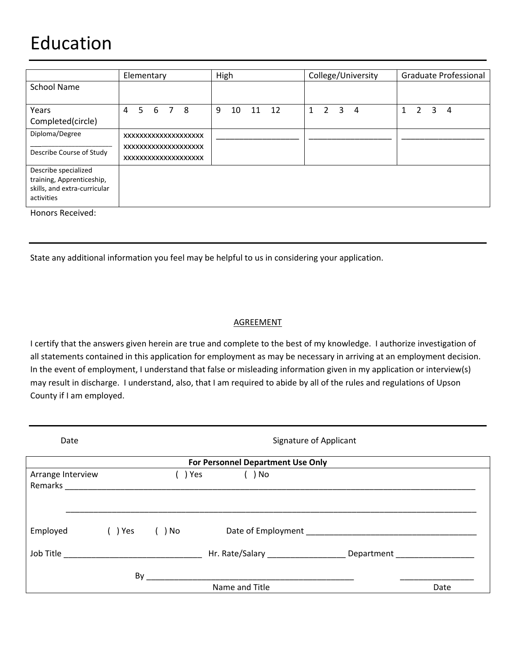## Education

|                                                                                                 | Elementary                                  | High                | College/University                  | Graduate Professional       |
|-------------------------------------------------------------------------------------------------|---------------------------------------------|---------------------|-------------------------------------|-----------------------------|
| <b>School Name</b>                                                                              |                                             |                     |                                     |                             |
| Years                                                                                           | 5<br>6 7<br>-8<br>4                         | 12<br>9<br>10<br>11 | $1\quad 2\quad 3$<br>$\overline{4}$ | 2<br>3<br>$\mathbf{1}$<br>4 |
| Completed(circle)                                                                               |                                             |                     |                                     |                             |
| Diploma/Degree                                                                                  | XXXXXXXXXXXXXXXXXXXX                        |                     |                                     |                             |
| Describe Course of Study                                                                        | XXXXXXXXXXXXXXXXXXX<br>XXXXXXXXXXXXXXXXXXXX |                     |                                     |                             |
| Describe specialized<br>training, Apprenticeship,<br>skills, and extra-curricular<br>activities |                                             |                     |                                     |                             |

Honors Received:

State any additional information you feel may be helpful to us in considering your application.

#### AGREEMENT

I certify that the answers given herein are true and complete to the best of my knowledge. I authorize investigation of all statements contained in this application for employment as may be necessary in arriving at an employment decision. In the event of employment, I understand that false or misleading information given in my application or interview(s) may result in discharge. I understand, also, that I am required to abide by all of the rules and regulations of Upson County if I am employed.

| Date                         | Signature of Applicant |     |                                                                                  |  |      |
|------------------------------|------------------------|-----|----------------------------------------------------------------------------------|--|------|
|                              |                        |     | For Personnel Department Use Only                                                |  |      |
| Arrange Interview<br>Remarks |                        | Yes | ( ) No                                                                           |  |      |
| Employed                     | () Yes () No           |     | Date of Employment                                                               |  |      |
|                              |                        |     | Hr. Rate/Salary ___________________________ Department _________________________ |  |      |
|                              | By                     |     | Name and Title                                                                   |  | Date |